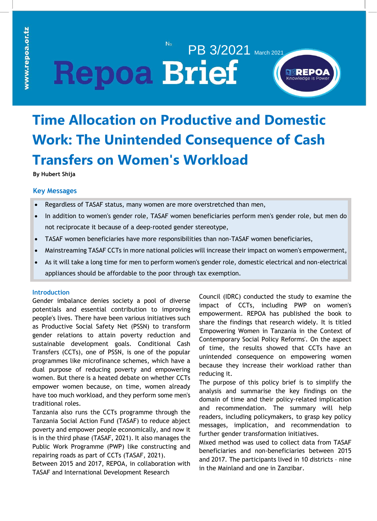## $No$ PB 3/2021 March 2021 **Repoa Brief**



# **Time Allocation on Productive and Domestic Work: The Unintended Consequence of Cash Transfers on Women's Workload**

**By Hubert Shija**

## **Key Messages**

- Regardless of TASAF status, many women are more overstretched than men,
- In addition to women's gender role, TASAF women beneficiaries perform men's gender role, but men do not reciprocate it because of a deep-rooted gender stereotype,
- TASAF women beneficiaries have more responsibilities than non-TASAF women beneficiaries,
- Mainstreaming TASAF CCTs in more national policies will increase their impact on women's empowerment,
- As it will take a long time for men to perform women's gender role, domestic electrical and non-electrical appliances should be affordable to the poor through tax exemption.

### **Introduction**

Gender imbalance denies society a pool of diverse potentials and essential contribution to improving people's lives. There have been various initiatives such as Productive Social Safety Net (PSSN) to transform gender relations to attain poverty reduction and sustainable development goals. Conditional Cash Transfers (CCTs), one of PSSN, is one of the popular programmes like microfinance schemes, which have a dual purpose of reducing poverty and empowering women. But there is a heated debate on whether CCTs empower women because, on time, women already have too much workload, and they perform some men's traditional roles.

Tanzania also runs the CCTs programme through the Tanzania Social Action Fund (TASAF) to reduce abject poverty and empower people economically, and now it is in the third phase (TASAF, 2021). It also manages the Public Work Programme (PWP) like constructing and repairing roads as part of CCTs (TASAF, 2021).

Between 2015 and 2017, REPOA, in collaboration with TASAF and International Development Research

Council (IDRC) conducted the study to examine the impact of CCTs, including PWP on women's empowerment. REPOA has published the book to share the findings that research widely. It is titled 'Empowering Women in Tanzania in the Context of Contemporary Social Policy Reforms'. On the aspect of time, the results showed that CCTs have an unintended consequence on empowering women because they increase their workload rather than reducing it.

The purpose of this policy brief is to simplify the analysis and summarise the key findings on the domain of time and their policy-related implication and recommendation. The summary will help readers, including policymakers, to grasp key policy messages, implication, and recommendation to further gender transformation initiatives.

Mixed method was used to collect data from TASAF beneficiaries and non-beneficiaries between 2015 and 2017. The participants lived in 10 districts – nine in the Mainland and one in Zanzibar.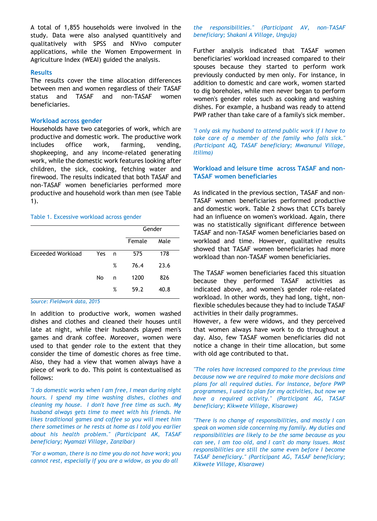A total of 1,855 households were involved in the study. Data were also analysed quantitively and qualitatively with SPSS and NVivo computer applications, while the Women Empowerment in Agriculture Index (WEAI) guided the analysis.

#### **Results**

The results cover the time allocation differences between men and women regardless of their TASAF status and TASAF and non-TASAF women beneficiaries.

### **Workload across gender**

non-TASAF women beneficiaries performed more productive and household work than men (see Table Households have two categories of work, which are productive and domestic work. The productive work includes office work, farming, vending, shopkeeping, and any income-related generating work, while the domestic work features looking after children, the sick, cooking, fetching water and firewood. The results indicated that both TASAF and 1).

#### websites. For instance, as Table 1. Excessive workload across gender

|     |   | Gender |      |
|-----|---|--------|------|
|     |   | Female | Male |
| Yes | n | 575    | 178  |
|     | % | 76.4   | 23.6 |
| No  | n | 1200   | 826  |
|     | % | 59.2   | 40.8 |
|     |   |        |      |

*Source: Fieldwork data, 2015*

In addition to productive work, women washed dishes and clothes and cleaned their houses until late at night, while their husbands played men's games and drank coffee. Moreover, women were used to that gender role to the extent that they consider the time of domestic chores as free time. Also, they had a view that women always have a piece of work to do. This point is contextualised as follows:

*"I do domestic works when I am free, I mean during night hours. I spend my time washing dishes, clothes and cleaning my house. I don't have free time as such. My husband always gets time to meet with his friends. He likes traditional games and coffee so you will meet him there sometimes or he rests at home as I told you earlier about his health problem." (Participant AK, TASAF beneficiary; Nyamazi Village, Zanzibar)*

*"For a woman, there is no time you do not have work; you cannot rest, especially if you are a widow, as you do all* 

*the responsibilities." (Participant AV, non-TASAF beneficiary; Shakani A Village, Unguja)*

Further analysis indicated that TASAF women beneficiaries' workload increased compared to their spouses because they started to perform work previously conducted by men only. For instance, in addition to domestic and care work, women started to dig boreholes, while men never began to perform women's gender roles such as cooking and washing dishes. For example, a husband was ready to attend PWP rather than take care of a family's sick member.

*"I only ask my husband to attend public work if I have to take care of a member of the family who falls sick." (Participant AQ, TASAF beneficiary; Mwanunui Village, Itilima)*

## **Workload and leisure time across TASAF and non-TASAF women beneficiaries**

As indicated in the previous section, TASAF and non-TASAF women beneficiaries performed productive and domestic work. Table 2 shows that CCTs barely had an influence on women's workload. Again, there was no statistically significant difference between TASAF and non-TASAF women beneficiaries based on workload and time. However, qualitative results showed that TASAF women beneficiaries had more workload than non-TASAF women beneficiaries.

no and **Robert means The TASAF** women beneficiaries faced this situation **Source:** Figure of they performed TASAF activities as indicated above, and women's gender role-related workload. In other words, they had long, tight, nonflexible schedules because they had to include TASAF activities in their daily programmes.

> However, a few were widows, and they perceived that women always have work to do throughout a day. Also, few TASAF women beneficiaries did not notice a change in their time allocation, but some with old age contributed to that.

> *"The roles have increased compared to the previous time because now we are required to make more decisions and plans for all required duties. For instance, before PWP programmes, I used to plan for my activities, but now we have a required activity." (Participant AG, TASAF beneficiary; Kikwete Village, Kisarawe)*

> *"There is no change of responsibilities, and mostly I can speak on women side concerning my family. My duties and responsibilities are likely to be the same because as you can see, I am too old, and I can't do many issues. Most responsibilities are still the same even before I become TASAF beneficiary." (Participant AG, TASAF beneficiary; Kikwete Village, Kisarawe)*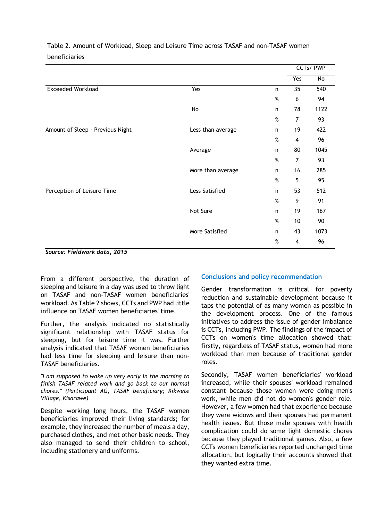|                                  |                   |              | CCTs/ PWP               |      |
|----------------------------------|-------------------|--------------|-------------------------|------|
|                                  |                   |              | Yes                     | No   |
| <b>Exceeded Workload</b>         | Yes               | $\mathsf{n}$ | 35                      | 540  |
|                                  |                   | $\%$         | $\boldsymbol{6}$        | 94   |
|                                  | No                | $\mathsf{n}$ | 78                      | 1122 |
|                                  |                   | $\%$         | $\overline{7}$          | 93   |
| Amount of Sleep - Previous Night | Less than average | $\mathsf{n}$ | 19                      | 422  |
|                                  |                   | $\%$         | $\overline{\mathbf{4}}$ | 96   |
|                                  | Average           | n            | 80                      | 1045 |
|                                  |                   | $\%$         | 7                       | 93   |
|                                  | More than average | $\mathsf{n}$ | 16                      | 285  |
|                                  |                   | $\%$         | 5                       | 95   |
| Perception of Leisure Time       | Less Satisfied    | $\mathsf{n}$ | 53                      | 512  |
|                                  |                   | $\%$         | 9                       | 91   |
|                                  | Not Sure          | n            | 19                      | 167  |
|                                  |                   | $\%$         | $10$                    | 90   |
|                                  | More Satisfied    | $\mathsf{n}$ | 43                      | 1073 |
|                                  |                   | $\%$         | $\overline{\mathbf{4}}$ | 96   |

Table 2. Amount of Workload, Sleep and Leisure Time across TASAF and non-TASAF women beneficiaries

*Source: Fieldwork data, 2015*

From a different perspective, the duration of sleeping and leisure in a day was used to throw light on TASAF and non-TASAF women beneficiaries' workload. As Table 2 shows, CCTs and PWP had little influence on TASAF women beneficiaries' time.

Further, the analysis indicated no statistically significant relationship with TASAF status for sleeping, but for leisure time it was. Further analysis indicated that TASAF women beneficiaries had less time for sleeping and leisure than non-TASAF beneficiaries.

*"I am supposed to wake up very early in the morning to finish TASAF related work and go back to our normal chores." (Participant AG, TASAF beneficiary; Kikwete Village, Kisarawe)*

Despite working long hours, the TASAF women beneficiaries improved their living standards; for example, they increased the number of meals a day, purchased clothes, and met other basic needs. They also managed to send their children to school, including stationery and uniforms.

## **Conclusions and policy recommendation**

Gender transformation is critical for poverty reduction and sustainable development because it taps the potential of as many women as possible in the development process. One of the famous initiatives to address the issue of gender imbalance is CCTs, including PWP. The findings of the impact of CCTs on women's time allocation showed that: firstly, regardless of TASAF status, women had more workload than men because of traditional gender roles.

Secondly, TASAF women beneficiaries' workload increased, while their spouses' workload remained constant because those women were doing men's work, while men did not do women's gender role. However, a few women had that experience because they were widows and their spouses had permanent health issues. But those male spouses with health complication could do some light domestic chores because they played traditional games. Also, a few CCTs women beneficiaries reported unchanged time allocation, but logically their accounts showed that they wanted extra time.